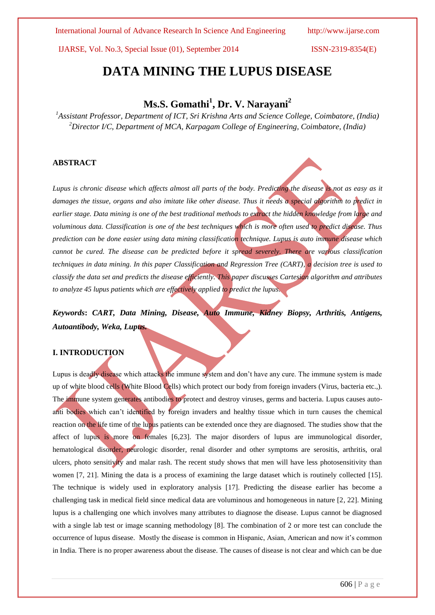International Journal of Advance Research In Science And Engineering http://www.ijarse.com

IJARSE, Vol. No.3, Special Issue (01), September 2014 ISSN-2319-8354(E)

# **DATA MINING THE LUPUS DISEASE**

## **Ms.S. Gomathi<sup>1</sup> , Dr. V. Narayani<sup>2</sup>**

*<sup>1</sup>Assistant Professor, Department of ICT, Sri Krishna Arts and Science College, Coimbatore, (India) <sup>2</sup>Director I/C, Department of MCA, Karpagam College of Engineering, Coimbatore, (India)*

## **ABSTRACT**

*Lupus is chronic disease which affects almost all parts of the body. Predicting the disease is not as easy as it*  damages the tissue, organs and also imitate like other disease. Thus it needs a special algorithm to predict in *earlier stage. Data mining is one of the best traditional methods to extract the hidden knowledge from large and voluminous data. Classification is one of the best techniques which is more often used to predict disease. Thus prediction can be done easier using data mining classification technique. Lupus is auto immune disease which cannot be cured. The disease can be predicted before it spread severely. There are various classification techniques in data mining. In this paper Classification and Regression Tree (CART), a decision tree is used to classify the data set and predicts the disease efficiently. This paper discusses Cartesian algorithm and attributes to analyze 45 lupus patients which are effectively applied to predict the lupus.*

*Keywords***:** *CART, Data Mining, Disease, Auto Immune, Kidney Biopsy, Arthritis, Antigens, Autoantibody, Weka, Lupus.* 

## **I. INTRODUCTION**

Lupus is deadly disease which attacks the immune system and don't have any cure. The immune system is made up of white blood cells (White Blood Cells) which protect our body from foreign invaders (Virus, bacteria etc.,). The immune system generates antibodies to protect and destroy viruses, germs and bacteria. Lupus causes autoanti bodies which can't identified by foreign invaders and healthy tissue which in turn causes the chemical reaction on the life time of the lupus patients can be extended once they are diagnosed. The studies show that the affect of lupus is more on females [6,23]. The major disorders of lupus are immunological disorder, hematological disorder, neurologic disorder, renal disorder and other symptoms are serositis, arthritis, oral ulcers, photo sensitivity and malar rash. The recent study shows that men will have less photosensitivity than women [7, 21]. Mining the data is a process of examining the large dataset which is routinely collected [15]. The technique is widely used in exploratory analysis [17]. Predicting the disease earlier has become a challenging task in medical field since medical data are voluminous and homogeneous in nature [2, 22]. Mining lupus is a challenging one which involves many attributes to diagnose the disease. Lupus cannot be diagnosed with a single lab test or image scanning methodology [8]. The combination of 2 or more test can conclude the occurrence of lupus disease. Mostly the disease is common in Hispanic, Asian, American and now it's common in India. There is no proper awareness about the disease. The causes of disease is not clear and which can be due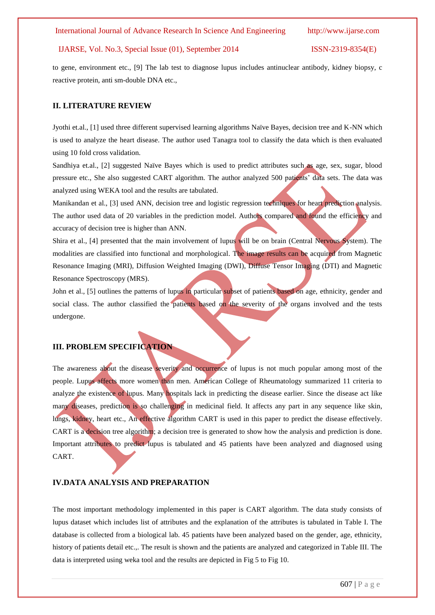to gene, environment etc., [9] The lab test to diagnose lupus includes antinuclear antibody, kidney biopsy, c reactive protein, anti sm-double DNA etc.,

## **II. LITERATURE REVIEW**

Jyothi et.al., [1] used three different supervised learning algorithms Naïve Bayes, decision tree and K-NN which is used to analyze the heart disease. The author used Tanagra tool to classify the data which is then evaluated using 10 fold cross validation.

Sandhiya et.al., [2] suggested Naïve Bayes which is used to predict attributes such as age, sex, sugar, blood pressure etc., She also suggested CART algorithm. The author analyzed 500 patients' data sets. The data was analyzed using WEKA tool and the results are tabulated.

Manikandan et al., [3] used ANN, decision tree and logistic regression techniques for heart prediction analysis. The author used data of 20 variables in the prediction model. Authors compared and found the efficiency and accuracy of decision tree is higher than ANN.

Shira et al., [4] presented that the main involvement of lupus will be on brain (Central Nervous System). The modalities are classified into functional and morphological. The image results can be acquired from Magnetic Resonance Imaging (MRI), Diffusion Weighted Imaging (DWI), Diffuse Tensor Imaging (DTI) and Magnetic Resonance Spectroscopy (MRS).

John et al., [5] outlines the patterns of lupus in particular subset of patients based on age, ethnicity, gender and social class. The author classified the patients based on the severity of the organs involved and the tests undergone.

## **III. PROBLEM SPECIFICATION**

The awareness about the disease severity and occurrence of lupus is not much popular among most of the people. Lupus affects more women than men. American College of Rheumatology summarized 11 criteria to analyze the existence of lupus. Many hospitals lack in predicting the disease earlier. Since the disease act like many diseases, prediction is so challenging in medicinal field. It affects any part in any sequence like skin, lungs, kidney, heart etc., An effective algorithm CART is used in this paper to predict the disease effectively. CART is a decision tree algorithm; a decision tree is generated to show how the analysis and prediction is done. Important attributes to predict lupus is tabulated and 45 patients have been analyzed and diagnosed using CART.

## **IV.DATA ANALYSIS AND PREPARATION**

The most important methodology implemented in this paper is CART algorithm. The data study consists of lupus dataset which includes list of attributes and the explanation of the attributes is tabulated in Table I. The database is collected from a biological lab. 45 patients have been analyzed based on the gender, age, ethnicity, history of patients detail etc.,. The result is shown and the patients are analyzed and categorized in Table III. The data is interpreted using weka tool and the results are depicted in Fig 5 to Fig 10.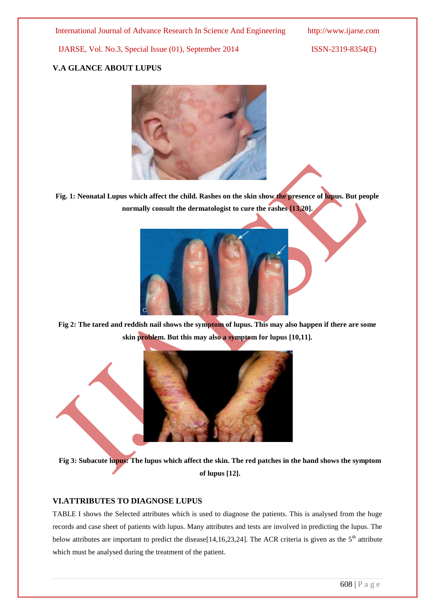## **V.A GLANCE ABOUT LUPUS**



**Fig. 1: Neonatal Lupus which affect the child. Rashes on the skin show the presence of lupus. But people normally consult the dermatologist to cure the rashes [13,20].**



**Fig 2: The tared and reddish nail shows the symptom of lupus. This may also happen if there are some skin problem. But this may also a symptom for lupus [10,11].**



**Fig 3: Subacute lupus: The lupus which affect the skin. The red patches in the hand shows the symptom of lupus [12].**

## **VI.ATTRIBUTES TO DIAGNOSE LUPUS**

TABLE I shows the Selected attributes which is used to diagnose the patients. This is analysed from the huge records and case sheet of patients with lupus. Many attributes and tests are involved in predicting the lupus. The below attributes are important to predict the disease[14,16,23,24]. The ACR criteria is given as the  $5<sup>th</sup>$  attribute which must be analysed during the treatment of the patient.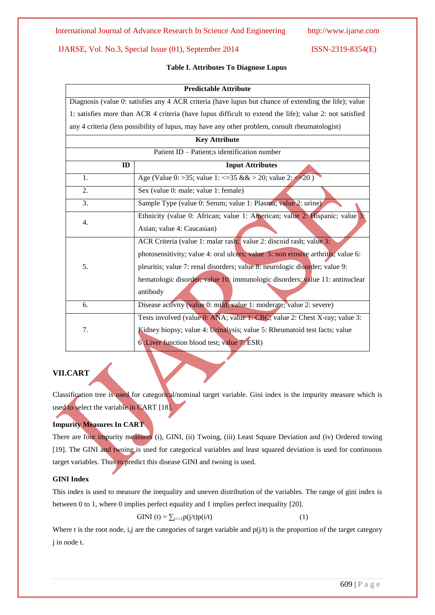## **Table I. Attributes To Diagnose Lupus**

#### **Predictable Attribute**

Diagnosis (value 0: satisfies any 4 ACR criteria (have lupus but chance of extending the life); value 1: satisfies more than ACR 4 criteria (have lupus difficult to extend the life); value 2: not satisfied any 4 criteria (less possibility of lupus, may have any other problem, consult rheumatologist)

| <b>Key Attribute</b>                          |                                                                                  |  |  |
|-----------------------------------------------|----------------------------------------------------------------------------------|--|--|
| Patient ID - Patient; s identification number |                                                                                  |  |  |
| ID                                            | <b>Input Attributes</b>                                                          |  |  |
| 1.                                            | Age (Value 0: >35; value 1: <= 35 & $\&$ > 20; value 2: <= 20)                   |  |  |
| 2.                                            | Sex (value 0: male; value 1: female)                                             |  |  |
| 3.                                            | Sample Type (value 0: Serum; value 1: Plasma; value 2: urine)                    |  |  |
| 4.                                            | Ethnicity (value 0: African; value 1: American; value 2: Hispanic; value 3:      |  |  |
|                                               | Asian; value 4: Caucasian)                                                       |  |  |
| 5.                                            | ACR Criteria (value 1: malar rash; value 2: discoid rash; value 3:               |  |  |
|                                               | photosensitivity; value 4: oral ulcers; value 5: non erosive arthritis; value 6: |  |  |
|                                               | pleuritis; value 7: renal disorders; value 8: neurologic disorder; value 9:      |  |  |
|                                               | hematologic disorder; value 10; immunologic disorders; value 11: antinuclear     |  |  |
|                                               | antibody                                                                         |  |  |
| 6.                                            | Disease activity (value 0: mild; value 1: moderate; value 2: severe)             |  |  |
|                                               | Tests involved (value 0: ANA; value 1: CBC; value 2: Chest X-ray; value 3:       |  |  |
| 7.                                            | Kidney biopsy; value 4: Urinalysis; value 5: Rheumatoid test facts; value        |  |  |
|                                               | 6: Liver function blood test; value 7: ESR)                                      |  |  |

## **VII.CART**

Classification tree is used for categorical/nominal target variable. Gini index is the impurity measure which is used to select the variable in CART [18].

## **Impurity Measures In CART**

There are four impurity measures (i), GINI, (ii) Twoing, (iii) Least Square Deviation and (iv) Ordered towing [19]. The GINI and twoing is used for categorical variables and least squared deviation is used for continuous target variables. Thus to predict this disease GINI and twoing is used.

## **GINI Index**

This index is used to measure the inequality and uneven distribution of the variables. The range of gini index is between 0 to 1, where 0 implies perfect equality and 1 implies perfect inequality [20].

$$
GINI(t) = \sum_{j \sim 1} p(j/t)p(i/t)
$$
 (1)

Where t is the root node, i,j are the categories of target variable and  $p(j/t)$  is the proportion of the target category j in node t.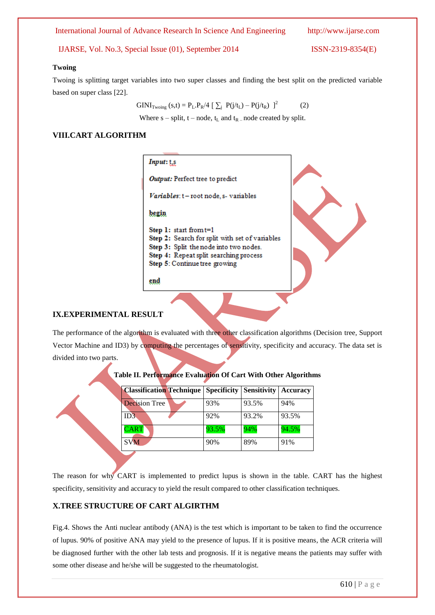#### 610 | P a g e

International Journal of Advance Research In Science And Engineering http://www.ijarse.com

IJARSE, Vol. No.3, Special Issue (01), September 2014 ISSN-2319-8354(E)

#### **Twoing**

Twoing is splitting target variables into two super classes and finding the best split on the predicted variable based on super class [22].

> $GINI_{Twoing}(s,t) = P_L.P_R/4 [\sum_j P(j/t_L) - P(j/t_R)]^2$ (2)

Where  $s$  – split,  $t$  – node,  $t_L$  and  $t_R$  – node created by split.

## **VIII.CART ALGORITHM**

The performance of the algorithm is evaluated with three other classification algorithms (Decision tree, Support Vector Machine and ID3) by computing the percentages of sensitivity, specificity and accuracy. The data set is divided into two parts. **Table II. Performance Evaluation Of Cart With Other Algorithms Classification Technique Specificity Sensitivity Accuracy** Decision Tree 93% 93.5% 94% ID3 92% 93.2% 93.5% CART 93.5% 94% 94.5%

The reason for why CART is implemented to predict lupus is shown in the table. CART has the highest specificity, sensitivity and accuracy to yield the result compared to other classification techniques.

SVM 90% 89% 91%

## **X.TREE STRUCTURE OF CART ALGIRTHM**

Fig.4. Shows the Anti nuclear antibody (ANA) is the test which is important to be taken to find the occurrence of lupus. 90% of positive ANA may yield to the presence of lupus. If it is positive means, the ACR criteria will be diagnosed further with the other lab tests and prognosis. If it is negative means the patients may suffer with some other disease and he/she will be suggested to the rheumatologist.

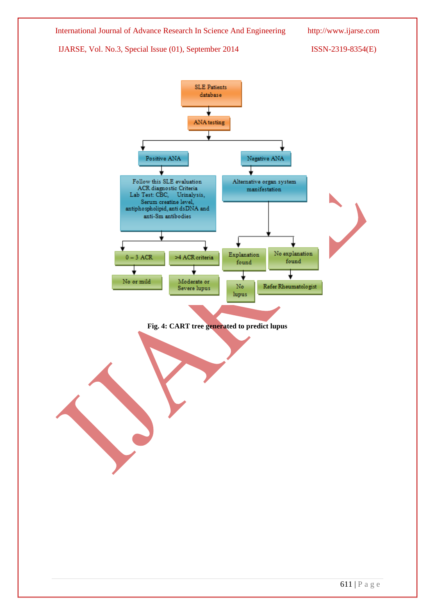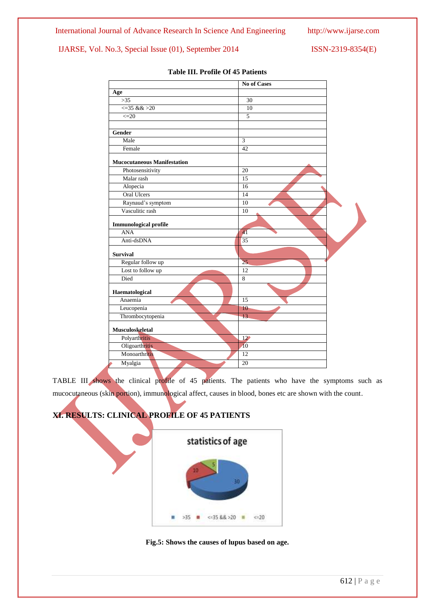|                                    | <b>No of Cases</b> |  |
|------------------------------------|--------------------|--|
| Age                                |                    |  |
| $>35$                              | 30                 |  |
| $\leq$ 35 & & > 20                 | 10                 |  |
| $\leq=20$                          | 5                  |  |
| Gender                             |                    |  |
| Male                               | 3                  |  |
| Female                             | 42                 |  |
| <b>Mucocutaneous Manifestation</b> |                    |  |
| Photosensitivity                   | 20                 |  |
| Malar rash                         | 15                 |  |
| Alopecia                           | 16                 |  |
| <b>Oral Ulcers</b>                 | 14                 |  |
| Raynaud's symptom                  | 10                 |  |
| Vasculitic rash                    | 10                 |  |
| <b>Immunological profile</b>       |                    |  |
| <b>ANA</b>                         | $\overline{41}$    |  |
| Anti-dsDNA                         | 35                 |  |
| <b>Survival</b>                    |                    |  |
| Regular follow up                  | $\overline{25}$    |  |
| Lost to follow up                  | $\overline{12}$    |  |
| Died                               | 8                  |  |
| Haematological                     |                    |  |
| Anaemia                            | 15                 |  |
| Leucopenia                         | 10 <sup>°</sup>    |  |
| Thrombocytopenia                   | 13                 |  |
| Musculoskeletal                    |                    |  |
| Polyarthritis                      | $12^{\circ}$       |  |
| Oligoarthritis                     | $\overline{10}$    |  |
| Monoarthritis                      | $\overline{12}$    |  |
| Myalgia                            | 20                 |  |

## **Table III. Profile Of 45 Patients**

TABLE III shows the clinical profile of 45 patients. The patients who have the symptoms such as mucocutaneous (skin portion), immunological affect, causes in blood, bones etc are shown with the count.





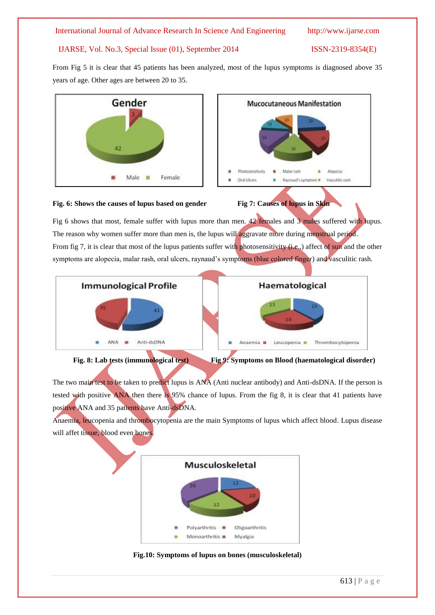From Fig 5 it is clear that 45 patients has been analyzed, most of the lupus symptoms is diagnosed above 35 years of age. Other ages are between 20 to 35.







Fig 6 shows that most, female suffer with lupus more than men. 42 females and 3 males suffered with lupus. The reason why women suffer more than men is, the lupus will aggravate more during menstrual period. From fig 7, it is clear that most of the lupus patients suffer with photosensitivity (i.e.,) affect of sun and the other symptoms are alopecia, malar rash, oral ulcers, raynaud's symptoms (blue colored finger) and vasculitic rash.







The two main test to be taken to predict lupus is ANA (Anti nuclear antibody) and Anti-dsDNA. If the person is tested with positive ANA then there is 95% chance of lupus. From the fig 8, it is clear that 41 patients have positive ANA and 35 patients have Anti-dsDNA.

Anaemia, leucopenia and thrombocytopenia are the main Symptoms of lupus which affect blood. Lupus disease will affet tissue, blood even bones.



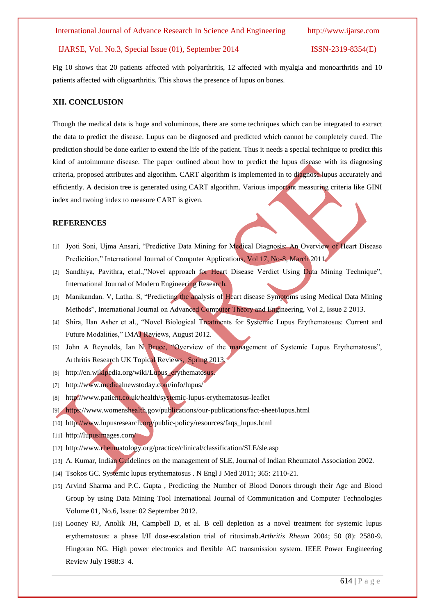Fig 10 shows that 20 patients affected with polyarthritis, 12 affected with myalgia and monoarthritis and 10 patients affected with oligoarthritis. This shows the presence of lupus on bones.

## **XII. CONCLUSION**

Though the medical data is huge and voluminous, there are some techniques which can be integrated to extract the data to predict the disease. Lupus can be diagnosed and predicted which cannot be completely cured. The prediction should be done earlier to extend the life of the patient. Thus it needs a special technique to predict this kind of autoimmune disease. The paper outlined about how to predict the lupus disease with its diagnosing criteria, proposed attributes and algorithm. CART algorithm is implemented in to diagnose lupus accurately and efficiently. A decision tree is generated using CART algorithm. Various important measuring criteria like GINI index and twoing index to measure CART is given.

#### **REFERENCES**

- [1] Jyoti Soni, Ujma Ansari, "Predictive Data Mining for Medical Diagnosis: An Overview of Heart Disease Predicition," International Journal of Computer Applications, Vol 17, No-8, March 2011.
- [2] Sandhiya, Pavithra, et.al.,"Novel approach for Heart Disease Verdict Using Data Mining Technique", International Journal of Modern Engineering Research.
- [3] Manikandan. V, Latha. S, "Predicting the analysis of Heart disease Symptoms using Medical Data Mining Methods", International Journal on Advanced Computer Theory and Engineering, Vol 2, Issue 2 2013.
- [4] Shira, Ilan Asher et al., "Novel Biological Treatments for Systemic Lupus Erythematosus: Current and Future Modalities," IMAJ Reviews, August 2012.
- [5] John A Reynolds, Ian N Bruce, "Overview of the management of Systemic Lupus Erythematosus", Arthritis Research UK Topical Reviews, Spring 2013.
- [6] http://en.wikipedia.org/wiki/Lupus\_erythematosus.
- [7] http://www.medicalnewstoday.com/info/lupus/
- [8] http://www.patient.co.uk/health/systemic-lupus-erythematosus-leaflet
- [9] https://www.womenshealth.gov/publications/our-publications/fact-sheet/lupus.html
- [10] http://www.lupusresearch.org/public-policy/resources/faqs\_lupus.html
- [11] http://lupusimages.com/
- [12] http://www.rheumatology.org/practice/clinical/classification/SLE/sle.asp
- [13] A. Kumar, Indian Guidelines on the management of SLE, Journal of Indian Rheumatol Association 2002.
- [14] Tsokos GC. Systemic lupus erythematosus . N Engl J Med 2011; 365: 2110-21.
- [15] Arvind Sharma and P.C. Gupta , Predicting the Number of Blood Donors through their Age and Blood Group by using Data Mining Tool International Journal of Communication and Computer Technologies Volume 01, No.6, Issue: 02 September 2012.
- [16] Looney RJ, Anolik JH, Campbell D, et al. B cell depletion as a novel treatment for systemic lupus erythematosus: a phase I/II dose-escalation trial of rituximab.*Arthritis Rheum* 2004; 50 (8): 2580-9. Hingoran NG. High power electronics and flexible AC transmission system. IEEE Power Engineering Review July 1988:3–4.